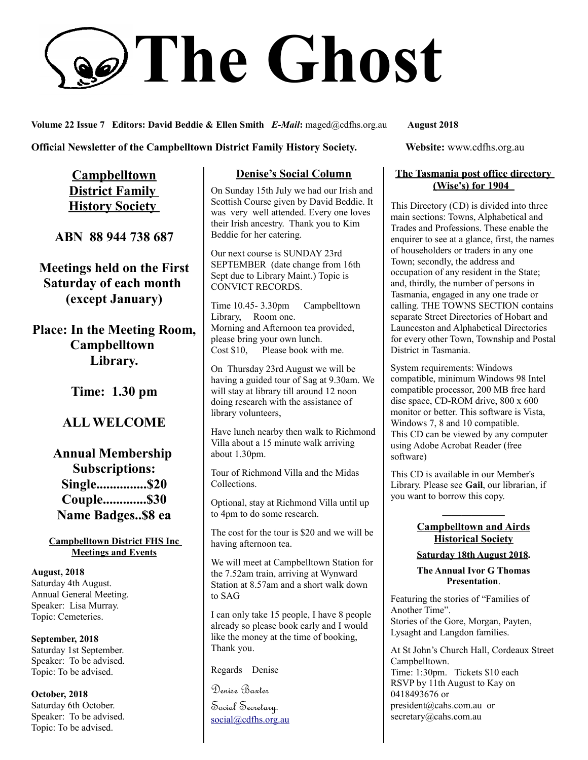# **The Ghost**

**Volume 22 Issue 7 Editors: David Beddie & Ellen Smith** *E-Mail***:** maged@cdfhs.org.au **August 2018**

**Official Newsletter of the Campbelltown District Family History Society. Website: www.cdfhs.org.au** 

**Campbelltown District Family History Society** 

**ABN 88 944 738 687**

**Meetings held on the First Saturday of each month (except January)**

**Place: In the Meeting Room, Campbelltown Library.**

**Time: 1.30 pm**

# **ALL WELCOME**

**Annual Membership Subscriptions: Single...............\$20 Couple.............\$30 Name Badges..\$8 ea**

**Campbelltown District FHS Inc Meetings and Events**

**August, 2018** Saturday 4th August. Annual General Meeting. Speaker: Lisa Murray. Topic: Cemeteries.

**September, 2018** Saturday 1st September. Speaker: To be advised. Topic: To be advised.

**October, 2018** Saturday 6th October. Speaker: To be advised. Topic: To be advised.

### **Denise's Social Column**

On Sunday 15th July we had our Irish and Scottish Course given by David Beddie. It was very well attended. Every one loves their Irish ancestry. Thank you to Kim Beddie for her catering.

Our next course is SUNDAY 23rd SEPTEMBER (date change from 16th Sept due to Library Maint.) Topic is CONVICT RECORDS.

Time 10.45- 3.30pm Campbelltown Library, Room one. Morning and Afternoon tea provided, please bring your own lunch. Cost \$10, Please book with me.

On Thursday 23rd August we will be having a guided tour of Sag at 9.30am. We will stay at library till around 12 noon doing research with the assistance of library volunteers,

Have lunch nearby then walk to Richmond Villa about a 15 minute walk arriving about 1.30pm.

Tour of Richmond Villa and the Midas Collections.

Optional, stay at Richmond Villa until up to 4pm to do some research.

The cost for the tour is \$20 and we will be having afternoon tea.

We will meet at Campbelltown Station for the 7.52am train, arriving at Wynward Station at 8.57am and a short walk down to SAG

I can only take 15 people, I have 8 people already so please book early and I would like the money at the time of booking, Thank you.

Regards Denise

Denise Baxter Social Secretary. [social@cdfhs.org.au](mailto:social@cdfhs.org.au)

#### **The Tasmania post office directory (Wise's) for 1904**

This Directory (CD) is divided into three main sections: Towns, Alphabetical and Trades and Professions. These enable the enquirer to see at a glance, first, the names of householders or traders in any one Town; secondly, the address and occupation of any resident in the State; and, thirdly, the number of persons in Tasmania, engaged in any one trade or calling. THE TOWNS SECTION contains separate Street Directories of Hobart and Launceston and Alphabetical Directories for every other Town, Township and Postal District in Tasmania.

System requirements: Windows compatible, minimum Windows 98 Intel compatible processor, 200 MB free hard disc space, CD-ROM drive, 800 x 600 monitor or better. This software is Vista, Windows 7, 8 and 10 compatible. This CD can be viewed by any computer using Adobe Acrobat Reader (free software)

This CD is available in our Member's Library. Please see **Gail**, our librarian, if you want to borrow this copy.

#### **——————– Campbelltown and Airds Historical Society**

**Saturday 18th August 2018.**

**The Annual Ivor G Thomas Presentation**.

Featuring the stories of "Families of Another Time". Stories of the Gore, Morgan, Payten, Lysaght and Langdon families.

At St John's Church Hall, Cordeaux Street Campbelltown. Time: 1:30pm. Tickets \$10 each RSVP by 11th August to Kay on 0418493676 or president@cahs.com.au or secretary@cahs.com.au